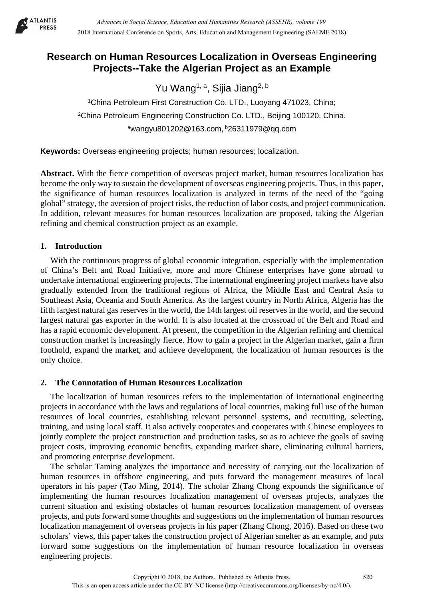

# **Research on Human Resources Localization in Overseas Engineering Projects--Take the Algerian Project as an Example**

Yu Wang<sup>1, a</sup>, Sijia Jiang<sup>2, b</sup>

1China Petroleum First Construction Co. LTD., Luoyang 471023, China; 2China Petroleum Engineering Construction Co. LTD., Beijing 100120, China. awangyu801202@163.com, b26311979@qq.com

**Keywords:** Overseas engineering projects; human resources; localization.

**Abstract.** With the fierce competition of overseas project market, human resources localization has become the only way to sustain the development of overseas engineering projects. Thus, in this paper, the significance of human resources localization is analyzed in terms of the need of the "going global" strategy, the aversion of project risks, the reduction of labor costs, and project communication. In addition, relevant measures for human resources localization are proposed, taking the Algerian refining and chemical construction project as an example.

# **1. Introduction**

With the continuous progress of global economic integration, especially with the implementation of China's Belt and Road Initiative, more and more Chinese enterprises have gone abroad to undertake international engineering projects. The international engineering project markets have also gradually extended from the traditional regions of Africa, the Middle East and Central Asia to Southeast Asia, Oceania and South America. As the largest country in North Africa, Algeria has the fifth largest natural gas reserves in the world, the 14th largest oil reserves in the world, and the second largest natural gas exporter in the world. It is also located at the crossroad of the Belt and Road and has a rapid economic development. At present, the competition in the Algerian refining and chemical construction market is increasingly fierce. How to gain a project in the Algerian market, gain a firm foothold, expand the market, and achieve development, the localization of human resources is the only choice.

# **2. The Connotation of Human Resources Localization**

The localization of human resources refers to the implementation of international engineering projects in accordance with the laws and regulations of local countries, making full use of the human resources of local countries, establishing relevant personnel systems, and recruiting, selecting, training, and using local staff. It also actively cooperates and cooperates with Chinese employees to jointly complete the project construction and production tasks, so as to achieve the goals of saving project costs, improving economic benefits, expanding market share, eliminating cultural barriers, and promoting enterprise development.

The scholar Taming analyzes the importance and necessity of carrying out the localization of human resources in offshore engineering, and puts forward the management measures of local operators in his paper (Tao Ming, 2014). The scholar Zhang Chong expounds the significance of implementing the human resources localization management of overseas projects, analyzes the current situation and existing obstacles of human resources localization management of overseas projects, and puts forward some thoughts and suggestions on the implementation of human resources localization management of overseas projects in his paper (Zhang Chong, 2016). Based on these two scholars' views, this paper takes the construction project of Algerian smelter as an example, and puts forward some suggestions on the implementation of human resource localization in overseas engineering projects.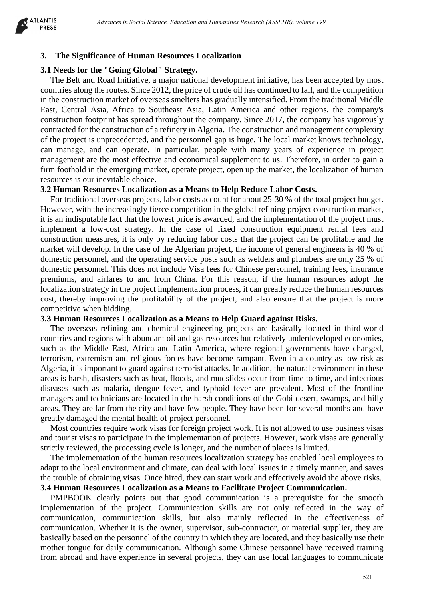

### **3. The Significance of Human Resources Localization**

### **3.1 Needs for the "Going Global" Strategy.**

The Belt and Road Initiative, a major national development initiative, has been accepted by most countries along the routes. Since 2012, the price of crude oil has continued to fall, and the competition in the construction market of overseas smelters has gradually intensified. From the traditional Middle East, Central Asia, Africa to Southeast Asia, Latin America and other regions, the company's construction footprint has spread throughout the company. Since 2017, the company has vigorously contracted for the construction of a refinery in Algeria. The construction and management complexity of the project is unprecedented, and the personnel gap is huge. The local market knows technology, can manage, and can operate. In particular, people with many years of experience in project management are the most effective and economical supplement to us. Therefore, in order to gain a firm foothold in the emerging market, operate project, open up the market, the localization of human resources is our inevitable choice.

### **3.2 Human Resources Localization as a Means to Help Reduce Labor Costs.**

For traditional overseas projects, labor costs account for about 25-30 % of the total project budget. However, with the increasingly fierce competition in the global refining project construction market, it is an indisputable fact that the lowest price is awarded, and the implementation of the project must implement a low-cost strategy. In the case of fixed construction equipment rental fees and construction measures, it is only by reducing labor costs that the project can be profitable and the market will develop. In the case of the Algerian project, the income of general engineers is 40 % of domestic personnel, and the operating service posts such as welders and plumbers are only 25 % of domestic personnel. This does not include Visa fees for Chinese personnel, training fees, insurance premiums, and airfares to and from China. For this reason, if the human resources adopt the localization strategy in the project implementation process, it can greatly reduce the human resources cost, thereby improving the profitability of the project, and also ensure that the project is more competitive when bidding. debener in Social Science, Education and Humanities Research (ASSEHR), where 199<br>
"Coding Colonia Cost in Social Science in Social Science in Section 1620<br>
Total Goding Colonia Science in Social Science in Section 1621<br>
To

#### **3.3 Human Resources Localization as a Means to Help Guard against Risks.**

The overseas refining and chemical engineering projects are basically located in third-world countries and regions with abundant oil and gas resources but relatively underdeveloped economies, such as the Middle East, Africa and Latin America, where regional governments have changed, terrorism, extremism and religious forces have become rampant. Even in a country as low-risk as Algeria, it is important to guard against terrorist attacks. In addition, the natural environment in these areas is harsh, disasters such as heat, floods, and mudslides occur from time to time, and infectious diseases such as malaria, dengue fever, and typhoid fever are prevalent. Most of the frontline managers and technicians are located in the harsh conditions of the Gobi desert, swamps, and hilly areas. They are far from the city and have few people. They have been for several months and have greatly damaged the mental health of project personnel.

Most countries require work visas for foreign project work. It is not allowed to use business visas and tourist visas to participate in the implementation of projects. However, work visas are generally strictly reviewed, the processing cycle is longer, and the number of places is limited.

The implementation of the human resources localization strategy has enabled local employees to adapt to the local environment and climate, can deal with local issues in a timely manner, and saves the trouble of obtaining visas. Once hired, they can start work and effectively avoid the above risks.

# **3.4 Human Resources Localization as a Means to Facilitate Project Communication.**

PMPBOOK clearly points out that good communication is a prerequisite for the smooth implementation of the project. Communication skills are not only reflected in the way of communication, communication skills, but also mainly reflected in the effectiveness of communication. Whether it is the owner, supervisor, sub-contractor, or material supplier, they are basically based on the personnel of the country in which they are located, and they basically use their mother tongue for daily communication. Although some Chinese personnel have received training from abroad and have experience in several projects, they can use local languages to communicate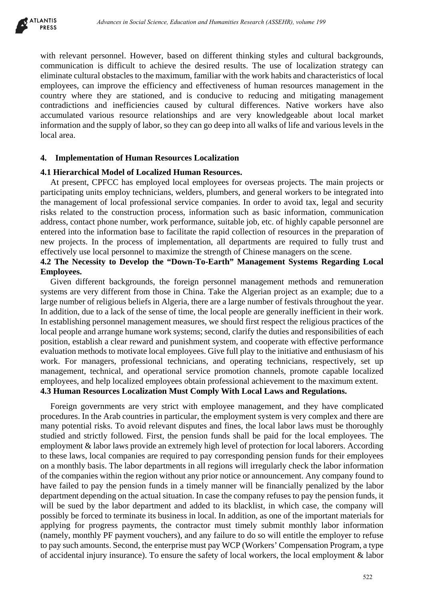

with relevant personnel. However, based on different thinking styles and cultural backgrounds, communication is difficult to achieve the desired results. The use of localization strategy can eliminate cultural obstacles to the maximum, familiar with the work habits and characteristics of local employees, can improve the efficiency and effectiveness of human resources management in the country where they are stationed, and is conducive to reducing and mitigating management contradictions and inefficiencies caused by cultural differences. Native workers have also accumulated various resource relationships and are very knowledgeable about local market information and the supply of labor, so they can go deep into all walks of life and various levels in the local area.

### **4. Implementation of Human Resources Localization**

### **4.1 Hierarchical Model of Localized Human Resources.**

At present, CPFCC has employed local employees for overseas projects. The main projects or participating units employ technicians, welders, plumbers, and general workers to be integrated into the management of local professional service companies. In order to avoid tax, legal and security risks related to the construction process, information such as basic information, communication address, contact phone number, work performance, suitable job, etc. of highly capable personnel are entered into the information base to facilitate the rapid collection of resources in the preparation of new projects. In the process of implementation, all departments are required to fully trust and effectively use local personnel to maximize the strength of Chinese managers on the scene.

# **4.2 The Necessity to Develop the "Down-To-Earth" Management Systems Regarding Local Employees.**

Given different backgrounds, the foreign personnel management methods and remuneration systems are very different from those in China. Take the Algerian project as an example; due to a large number of religious beliefs in Algeria, there are a large number of festivals throughout the year. In addition, due to a lack of the sense of time, the local people are generally inefficient in their work. In establishing personnel management measures, we should first respect the religious practices of the local people and arrange humane work systems; second, clarify the duties and responsibilities of each position, establish a clear reward and punishment system, and cooperate with effective performance evaluation methods to motivate local employees. Give full play to the initiative and enthusiasm of his work. For managers, professional technicians, and operating technicians, respectively, set up management, technical, and operational service promotion channels, promote capable localized employees, and help localized employees obtain professional achievement to the maximum extent. **4.3 Human Resources Localization Must Comply With Local Laws and Regulations.** 

Foreign governments are very strict with employee management, and they have complicated procedures. In the Arab countries in particular, the employment system is very complex and there are many potential risks. To avoid relevant disputes and fines, the local labor laws must be thoroughly studied and strictly followed. First, the pension funds shall be paid for the local employees. The employment & labor laws provide an extremely high level of protection for local laborers. According to these laws, local companies are required to pay corresponding pension funds for their employees on a monthly basis. The labor departments in all regions will irregularly check the labor information of the companies within the region without any prior notice or announcement. Any company found to have failed to pay the pension funds in a timely manner will be financially penalized by the labor department depending on the actual situation. In case the company refuses to pay the pension funds, it will be sued by the labor department and added to its blacklist, in which case, the company will possibly be forced to terminate its business in local. In addition, as one of the important materials for applying for progress payments, the contractor must timely submit monthly labor information (namely, monthly PF payment vouchers), and any failure to do so will entitle the employer to refuse to pay such amounts. Second, the enterprise must pay WCP (Workers' Compensation Program, a type of accidental injury insurance). To ensure the safety of local workers, the local employment & labor debene in Social Keiwar, Education Hermanics Beson's (ASSEHR), where 199<br>
125 of the most of the costet of the costet of the costet of the state of the social of the state of the state of the state of the state of the stat